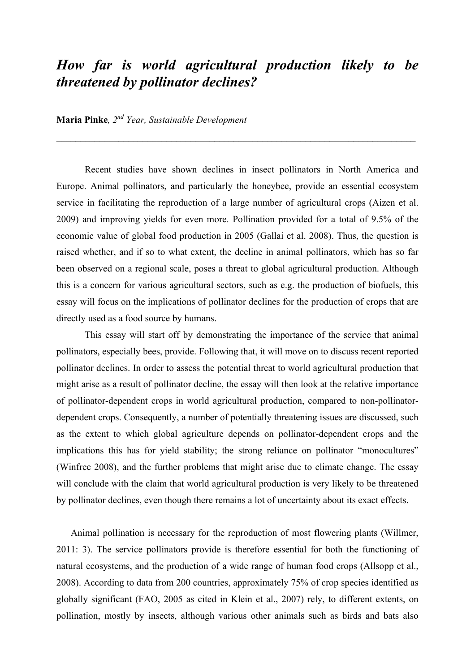## *How far is world agricultural production likely to be threatened by pollinator declines?*

## **Maria Pinke***, 2nd Year, Sustainable Development*

Recent studies have shown declines in insect pollinators in North America and Europe. Animal pollinators, and particularly the honeybee, provide an essential ecosystem service in facilitating the reproduction of a large number of agricultural crops (Aizen et al. 2009) and improving yields for even more. Pollination provided for a total of 9.5% of the economic value of global food production in 2005 (Gallai et al. 2008). Thus, the question is raised whether, and if so to what extent, the decline in animal pollinators, which has so far been observed on a regional scale, poses a threat to global agricultural production. Although this is a concern for various agricultural sectors, such as e.g. the production of biofuels, this essay will focus on the implications of pollinator declines for the production of crops that are directly used as a food source by humans.

This essay will start off by demonstrating the importance of the service that animal pollinators, especially bees, provide. Following that, it will move on to discuss recent reported pollinator declines. In order to assess the potential threat to world agricultural production that might arise as a result of pollinator decline, the essay will then look at the relative importance of pollinator-dependent crops in world agricultural production, compared to non-pollinatordependent crops. Consequently, a number of potentially threatening issues are discussed, such as the extent to which global agriculture depends on pollinator-dependent crops and the implications this has for yield stability; the strong reliance on pollinator "monocultures" (Winfree 2008), and the further problems that might arise due to climate change. The essay will conclude with the claim that world agricultural production is very likely to be threatened by pollinator declines, even though there remains a lot of uncertainty about its exact effects.

Animal pollination is necessary for the reproduction of most flowering plants (Willmer, 2011: 3). The service pollinators provide is therefore essential for both the functioning of natural ecosystems, and the production of a wide range of human food crops (Allsopp et al., 2008). According to data from 200 countries, approximately 75% of crop species identified as globally significant (FAO, 2005 as cited in Klein et al., 2007) rely, to different extents, on pollination, mostly by insects, although various other animals such as birds and bats also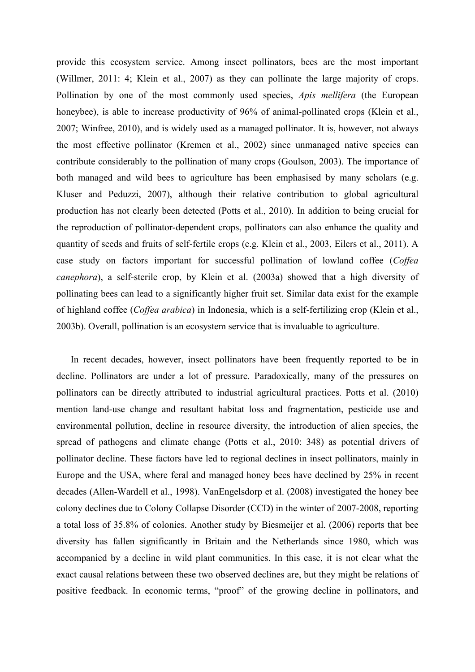provide this ecosystem service. Among insect pollinators, bees are the most important (Willmer, 2011: 4; Klein et al., 2007) as they can pollinate the large majority of crops. Pollination by one of the most commonly used species, *Apis mellifera* (the European honeybee), is able to increase productivity of 96% of animal-pollinated crops (Klein et al., 2007; Winfree, 2010), and is widely used as a managed pollinator. It is, however, not always the most effective pollinator (Kremen et al., 2002) since unmanaged native species can contribute considerably to the pollination of many crops (Goulson, 2003). The importance of both managed and wild bees to agriculture has been emphasised by many scholars (e.g. Kluser and Peduzzi, 2007), although their relative contribution to global agricultural production has not clearly been detected (Potts et al., 2010). In addition to being crucial for the reproduction of pollinator-dependent crops, pollinators can also enhance the quality and quantity of seeds and fruits of self-fertile crops (e.g. Klein et al., 2003, Eilers et al., 2011). A case study on factors important for successful pollination of lowland coffee (*Coffea canephora*), a self-sterile crop, by Klein et al. (2003a) showed that a high diversity of pollinating bees can lead to a significantly higher fruit set. Similar data exist for the example of highland coffee (*Coffea arabica*) in Indonesia, which is a self-fertilizing crop (Klein et al., 2003b). Overall, pollination is an ecosystem service that is invaluable to agriculture.

In recent decades, however, insect pollinators have been frequently reported to be in decline. Pollinators are under a lot of pressure. Paradoxically, many of the pressures on pollinators can be directly attributed to industrial agricultural practices. Potts et al. (2010) mention land-use change and resultant habitat loss and fragmentation, pesticide use and environmental pollution, decline in resource diversity, the introduction of alien species, the spread of pathogens and climate change (Potts et al., 2010: 348) as potential drivers of pollinator decline. These factors have led to regional declines in insect pollinators, mainly in Europe and the USA, where feral and managed honey bees have declined by 25% in recent decades (Allen-Wardell et al., 1998). VanEngelsdorp et al. (2008) investigated the honey bee colony declines due to Colony Collapse Disorder (CCD) in the winter of 2007-2008, reporting a total loss of 35.8% of colonies. Another study by Biesmeijer et al. (2006) reports that bee diversity has fallen significantly in Britain and the Netherlands since 1980, which was accompanied by a decline in wild plant communities. In this case, it is not clear what the exact causal relations between these two observed declines are, but they might be relations of positive feedback. In economic terms, "proof" of the growing decline in pollinators, and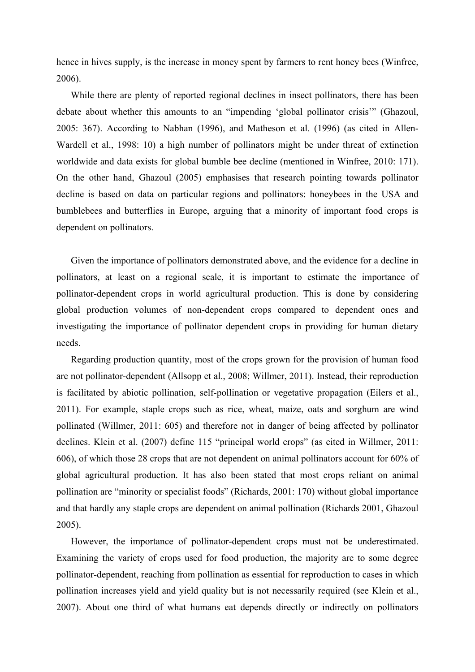hence in hives supply, is the increase in money spent by farmers to rent honey bees (Winfree, 2006).

While there are plenty of reported regional declines in insect pollinators, there has been debate about whether this amounts to an "impending 'global pollinator crisis'" (Ghazoul, 2005: 367). According to Nabhan (1996), and Matheson et al. (1996) (as cited in Allen-Wardell et al., 1998: 10) a high number of pollinators might be under threat of extinction worldwide and data exists for global bumble bee decline (mentioned in Winfree, 2010: 171). On the other hand, Ghazoul (2005) emphasises that research pointing towards pollinator decline is based on data on particular regions and pollinators: honeybees in the USA and bumblebees and butterflies in Europe, arguing that a minority of important food crops is dependent on pollinators.

Given the importance of pollinators demonstrated above, and the evidence for a decline in pollinators, at least on a regional scale, it is important to estimate the importance of pollinator-dependent crops in world agricultural production. This is done by considering global production volumes of non-dependent crops compared to dependent ones and investigating the importance of pollinator dependent crops in providing for human dietary needs.

Regarding production quantity, most of the crops grown for the provision of human food are not pollinator-dependent (Allsopp et al., 2008; Willmer, 2011). Instead, their reproduction is facilitated by abiotic pollination, self-pollination or vegetative propagation (Eilers et al., 2011). For example, staple crops such as rice, wheat, maize, oats and sorghum are wind pollinated (Willmer, 2011: 605) and therefore not in danger of being affected by pollinator declines. Klein et al. (2007) define 115 "principal world crops" (as cited in Willmer, 2011: 606), of which those 28 crops that are not dependent on animal pollinators account for 60% of global agricultural production. It has also been stated that most crops reliant on animal pollination are "minority or specialist foods" (Richards, 2001: 170) without global importance and that hardly any staple crops are dependent on animal pollination (Richards 2001, Ghazoul 2005).

However, the importance of pollinator-dependent crops must not be underestimated. Examining the variety of crops used for food production, the majority are to some degree pollinator-dependent, reaching from pollination as essential for reproduction to cases in which pollination increases yield and yield quality but is not necessarily required (see Klein et al., 2007). About one third of what humans eat depends directly or indirectly on pollinators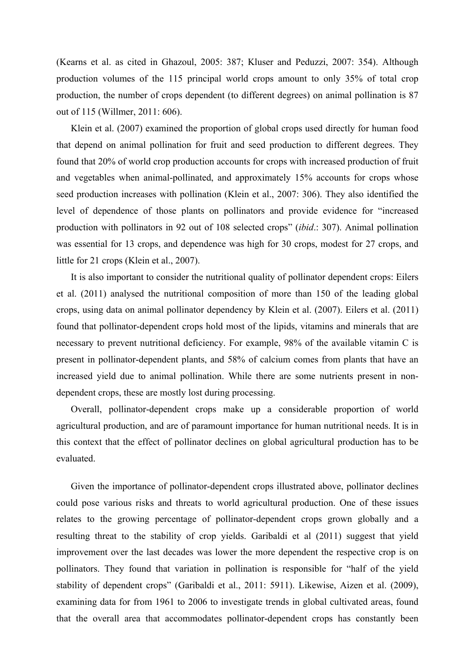(Kearns et al. as cited in Ghazoul, 2005: 387; Kluser and Peduzzi, 2007: 354). Although production volumes of the 115 principal world crops amount to only 35% of total crop production, the number of crops dependent (to different degrees) on animal pollination is 87 out of 115 (Willmer, 2011: 606).

Klein et al. (2007) examined the proportion of global crops used directly for human food that depend on animal pollination for fruit and seed production to different degrees. They found that 20% of world crop production accounts for crops with increased production of fruit and vegetables when animal-pollinated, and approximately 15% accounts for crops whose seed production increases with pollination (Klein et al., 2007: 306). They also identified the level of dependence of those plants on pollinators and provide evidence for "increased production with pollinators in 92 out of 108 selected crops" (*ibid*.: 307). Animal pollination was essential for 13 crops, and dependence was high for 30 crops, modest for 27 crops, and little for 21 crops (Klein et al., 2007).

It is also important to consider the nutritional quality of pollinator dependent crops: Eilers et al. (2011) analysed the nutritional composition of more than 150 of the leading global crops, using data on animal pollinator dependency by Klein et al. (2007). Eilers et al. (2011) found that pollinator-dependent crops hold most of the lipids, vitamins and minerals that are necessary to prevent nutritional deficiency. For example, 98% of the available vitamin C is present in pollinator-dependent plants, and 58% of calcium comes from plants that have an increased yield due to animal pollination. While there are some nutrients present in nondependent crops, these are mostly lost during processing.

Overall, pollinator-dependent crops make up a considerable proportion of world agricultural production, and are of paramount importance for human nutritional needs. It is in this context that the effect of pollinator declines on global agricultural production has to be evaluated.

Given the importance of pollinator-dependent crops illustrated above, pollinator declines could pose various risks and threats to world agricultural production. One of these issues relates to the growing percentage of pollinator-dependent crops grown globally and a resulting threat to the stability of crop yields. Garibaldi et al (2011) suggest that yield improvement over the last decades was lower the more dependent the respective crop is on pollinators. They found that variation in pollination is responsible for "half of the yield stability of dependent crops" (Garibaldi et al., 2011: 5911). Likewise, Aizen et al. (2009), examining data for from 1961 to 2006 to investigate trends in global cultivated areas, found that the overall area that accommodates pollinator-dependent crops has constantly been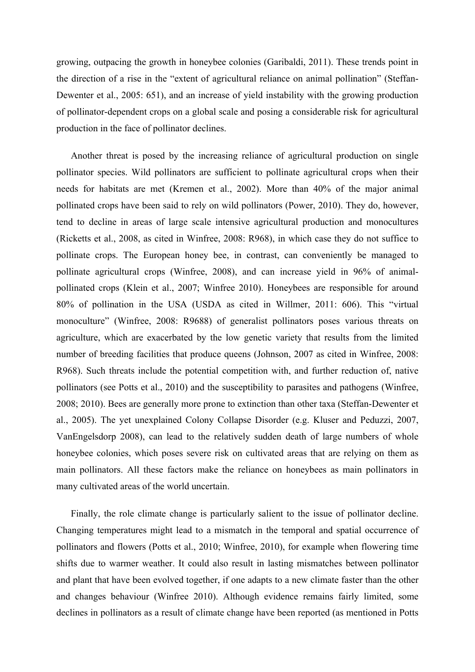growing, outpacing the growth in honeybee colonies (Garibaldi, 2011). These trends point in the direction of a rise in the "extent of agricultural reliance on animal pollination" (Steffan-Dewenter et al., 2005: 651), and an increase of yield instability with the growing production of pollinator-dependent crops on a global scale and posing a considerable risk for agricultural production in the face of pollinator declines.

Another threat is posed by the increasing reliance of agricultural production on single pollinator species. Wild pollinators are sufficient to pollinate agricultural crops when their needs for habitats are met (Kremen et al., 2002). More than 40% of the major animal pollinated crops have been said to rely on wild pollinators (Power, 2010). They do, however, tend to decline in areas of large scale intensive agricultural production and monocultures (Ricketts et al., 2008, as cited in Winfree, 2008: R968), in which case they do not suffice to pollinate crops. The European honey bee, in contrast, can conveniently be managed to pollinate agricultural crops (Winfree, 2008), and can increase yield in 96% of animalpollinated crops (Klein et al., 2007; Winfree 2010). Honeybees are responsible for around 80% of pollination in the USA (USDA as cited in Willmer, 2011: 606). This "virtual monoculture" (Winfree, 2008: R9688) of generalist pollinators poses various threats on agriculture, which are exacerbated by the low genetic variety that results from the limited number of breeding facilities that produce queens (Johnson, 2007 as cited in Winfree, 2008: R968). Such threats include the potential competition with, and further reduction of, native pollinators (see Potts et al., 2010) and the susceptibility to parasites and pathogens (Winfree, 2008; 2010). Bees are generally more prone to extinction than other taxa (Steffan-Dewenter et al., 2005). The yet unexplained Colony Collapse Disorder (e.g. Kluser and Peduzzi, 2007, VanEngelsdorp 2008), can lead to the relatively sudden death of large numbers of whole honeybee colonies, which poses severe risk on cultivated areas that are relying on them as main pollinators. All these factors make the reliance on honeybees as main pollinators in many cultivated areas of the world uncertain.

Finally, the role climate change is particularly salient to the issue of pollinator decline. Changing temperatures might lead to a mismatch in the temporal and spatial occurrence of pollinators and flowers (Potts et al., 2010; Winfree, 2010), for example when flowering time shifts due to warmer weather. It could also result in lasting mismatches between pollinator and plant that have been evolved together, if one adapts to a new climate faster than the other and changes behaviour (Winfree 2010). Although evidence remains fairly limited, some declines in pollinators as a result of climate change have been reported (as mentioned in Potts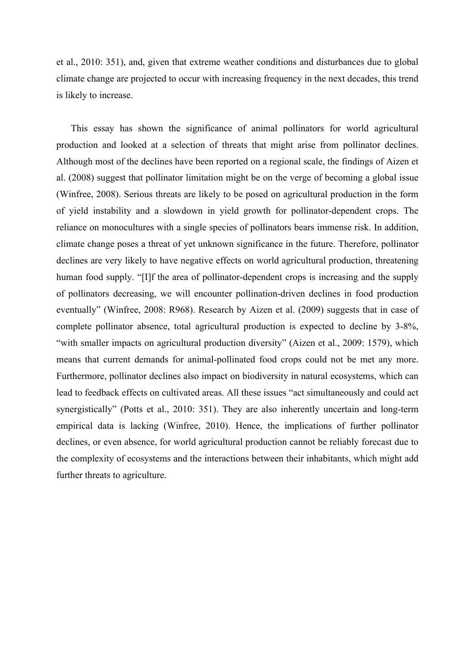et al., 2010: 351), and, given that extreme weather conditions and disturbances due to global climate change are projected to occur with increasing frequency in the next decades, this trend is likely to increase.

This essay has shown the significance of animal pollinators for world agricultural production and looked at a selection of threats that might arise from pollinator declines. Although most of the declines have been reported on a regional scale, the findings of Aizen et al. (2008) suggest that pollinator limitation might be on the verge of becoming a global issue (Winfree, 2008). Serious threats are likely to be posed on agricultural production in the form of yield instability and a slowdown in yield growth for pollinator-dependent crops. The reliance on monocultures with a single species of pollinators bears immense risk. In addition, climate change poses a threat of yet unknown significance in the future. Therefore, pollinator declines are very likely to have negative effects on world agricultural production, threatening human food supply. "[I]f the area of pollinator-dependent crops is increasing and the supply of pollinators decreasing, we will encounter pollination-driven declines in food production eventually" (Winfree, 2008: R968). Research by Aizen et al. (2009) suggests that in case of complete pollinator absence, total agricultural production is expected to decline by 3-8%, "with smaller impacts on agricultural production diversity" (Aizen et al., 2009: 1579), which means that current demands for animal-pollinated food crops could not be met any more. Furthermore, pollinator declines also impact on biodiversity in natural ecosystems, which can lead to feedback effects on cultivated areas. All these issues "act simultaneously and could act synergistically" (Potts et al., 2010: 351). They are also inherently uncertain and long-term empirical data is lacking (Winfree, 2010). Hence, the implications of further pollinator declines, or even absence, for world agricultural production cannot be reliably forecast due to the complexity of ecosystems and the interactions between their inhabitants, which might add further threats to agriculture.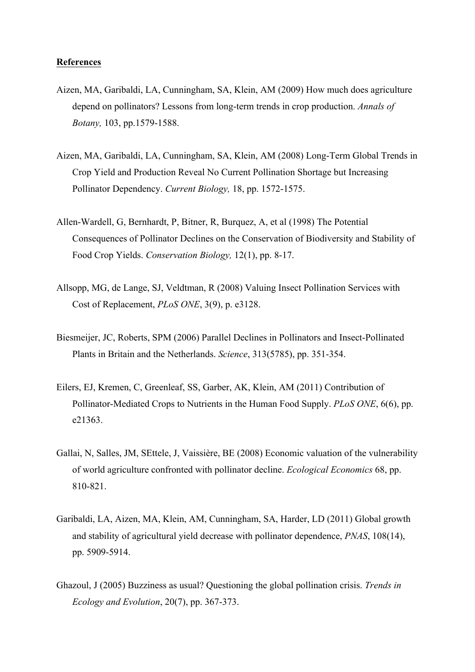## **References**

- Aizen, MA, Garibaldi, LA, Cunningham, SA, Klein, AM (2009) How much does agriculture depend on pollinators? Lessons from long-term trends in crop production. *Annals of Botany,* 103, pp.1579-1588.
- Aizen, MA, Garibaldi, LA, Cunningham, SA, Klein, AM (2008) Long-Term Global Trends in Crop Yield and Production Reveal No Current Pollination Shortage but Increasing Pollinator Dependency. *Current Biology,* 18, pp. 1572-1575.
- Allen-Wardell, G, Bernhardt, P, Bitner, R, Burquez, A, et al (1998) The Potential Consequences of Pollinator Declines on the Conservation of Biodiversity and Stability of Food Crop Yields. *Conservation Biology,* 12(1), pp. 8-17.
- Allsopp, MG, de Lange, SJ, Veldtman, R (2008) Valuing Insect Pollination Services with Cost of Replacement, *PLoS ONE*, 3(9), p. e3128.
- Biesmeijer, JC, Roberts, SPM (2006) Parallel Declines in Pollinators and Insect-Pollinated Plants in Britain and the Netherlands. *Science*, 313(5785), pp. 351-354.
- Eilers, EJ, Kremen, C, Greenleaf, SS, Garber, AK, Klein, AM (2011) Contribution of Pollinator-Mediated Crops to Nutrients in the Human Food Supply. *PLoS ONE*, 6(6), pp. e21363.
- Gallai, N, Salles, JM, SEttele, J, Vaissière, BE (2008) Economic valuation of the vulnerability of world agriculture confronted with pollinator decline. *Ecological Economics* 68, pp. 810-821.
- Garibaldi, LA, Aizen, MA, Klein, AM, Cunningham, SA, Harder, LD (2011) Global growth and stability of agricultural yield decrease with pollinator dependence, *PNAS*, 108(14), pp. 5909-5914.
- Ghazoul, J (2005) Buzziness as usual? Questioning the global pollination crisis. *Trends in Ecology and Evolution*, 20(7), pp. 367-373.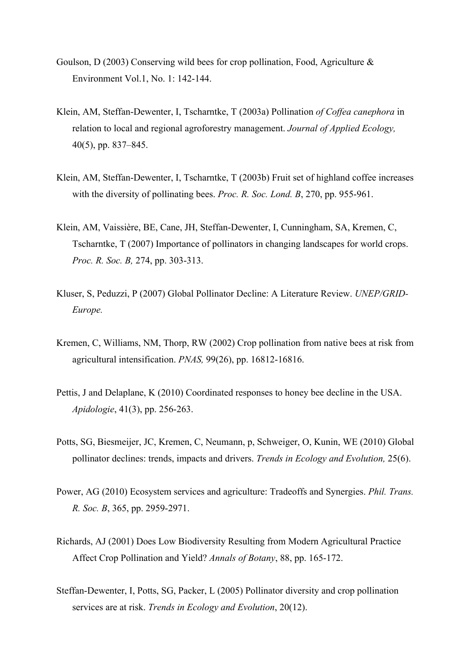- Goulson, D (2003) Conserving wild bees for crop pollination, Food, Agriculture & Environment Vol.1, No. 1: 142-144.
- Klein, AM, Steffan-Dewenter, I, Tscharntke, T (2003a) Pollination *of Coffea canephora* in relation to local and regional agroforestry management. *Journal of Applied Ecology,* 40(5), pp. 837–845.
- Klein, AM, Steffan-Dewenter, I, Tscharntke, T (2003b) Fruit set of highland coffee increases with the diversity of pollinating bees. *Proc. R. Soc. Lond. B*, 270, pp. 955-961.
- Klein, AM, Vaissière, BE, Cane, JH, Steffan-Dewenter, I, Cunningham, SA, Kremen, C, Tscharntke, T (2007) Importance of pollinators in changing landscapes for world crops. *Proc. R. Soc. B,* 274, pp. 303-313.
- Kluser, S, Peduzzi, P (2007) Global Pollinator Decline: A Literature Review. *UNEP/GRID-Europe.*
- Kremen, C, Williams, NM, Thorp, RW (2002) Crop pollination from native bees at risk from agricultural intensification. *PNAS,* 99(26), pp. 16812-16816.
- Pettis, J and Delaplane, K (2010) Coordinated responses to honey bee decline in the USA. *Apidologie*, 41(3), pp. 256-263.
- Potts, SG, Biesmeijer, JC, Kremen, C, Neumann, p, Schweiger, O, Kunin, WE (2010) Global pollinator declines: trends, impacts and drivers. *Trends in Ecology and Evolution,* 25(6).
- Power, AG (2010) Ecosystem services and agriculture: Tradeoffs and Synergies. *Phil. Trans. R. Soc. B*, 365, pp. 2959-2971.
- Richards, AJ (2001) Does Low Biodiversity Resulting from Modern Agricultural Practice Affect Crop Pollination and Yield? *Annals of Botany*, 88, pp. 165-172.
- Steffan-Dewenter, I, Potts, SG, Packer, L (2005) Pollinator diversity and crop pollination services are at risk. *Trends in Ecology and Evolution*, 20(12).